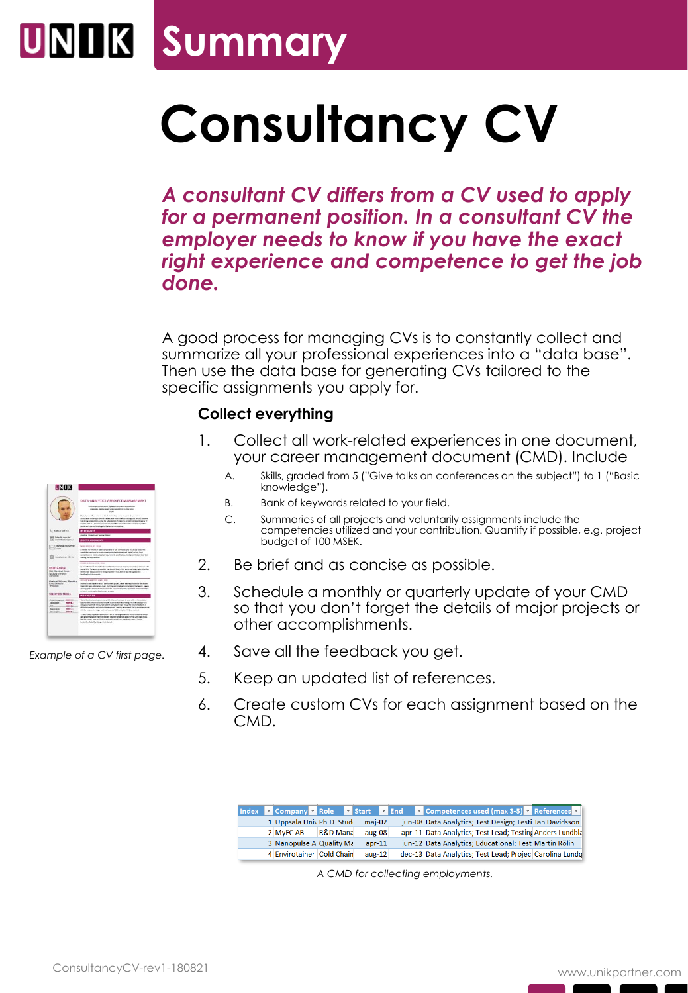## **UNIK Summary**

# **Consultancy CV**

*A consultant CV differs from a CV used to apply for a permanent position. In a consultant CV the employer needs to know if you have the exact right experience and competence to get the job done.* 

A good process for managing CVs is to constantly collect and summarize all your professional experiences into a "data base". Then use the data base for generating CVs tailored to the specific assignments you apply for.

#### **Collect everything**

- 1. Collect all work-related experiences in one document, your career management document (CMD). Include
	- A. Skills, graded from 5 ("Give talks on conferences on the subject") to 1 ("Basic knowledge").
	- B. Bank of keywords related to your field.
	- C. Summaries of all projects and voluntarily assignments include the competencies utilized and your contribution. Quantify if possible, e.g. project budget of 100 MSEK.
- 2. Be brief and as concise as possible.
- 3. Schedule a monthly or quarterly update of your CMD so that you don't forget the details of major projects or other accomplishments.
- 4. Save all the feedback you get.
- 5. Keep an updated list of references.
- 6. Create custom CVs for each assignment based on the CMD.

|                           |          |          | Index v Company v Role v Start v End v Competences used (max 3-5) v References v |
|---------------------------|----------|----------|----------------------------------------------------------------------------------|
| 1 Uppsala Univ Ph.D. Stud |          | $mai-02$ | jun-08 Data Analytics; Test Design; Testi Jan Davidsson                          |
| 2 MyFC AB                 | R&D Mana | $aux-08$ | apr-11 Data Analytics; Test Lead; Testing Anders Lundbla                         |
| 3 Nanopulse Al Quality Ma |          | $apr-11$ | jun-12 Data Analytics; Educational; Test Martin Rölin                            |
| 4 Envirotainer Cold Chain |          | $aug-12$ | dec-13 Data Analytics; Test Lead; Project Carolina Lundq                         |

*A CMD for collecting employments.*



*Example of a CV first page.*